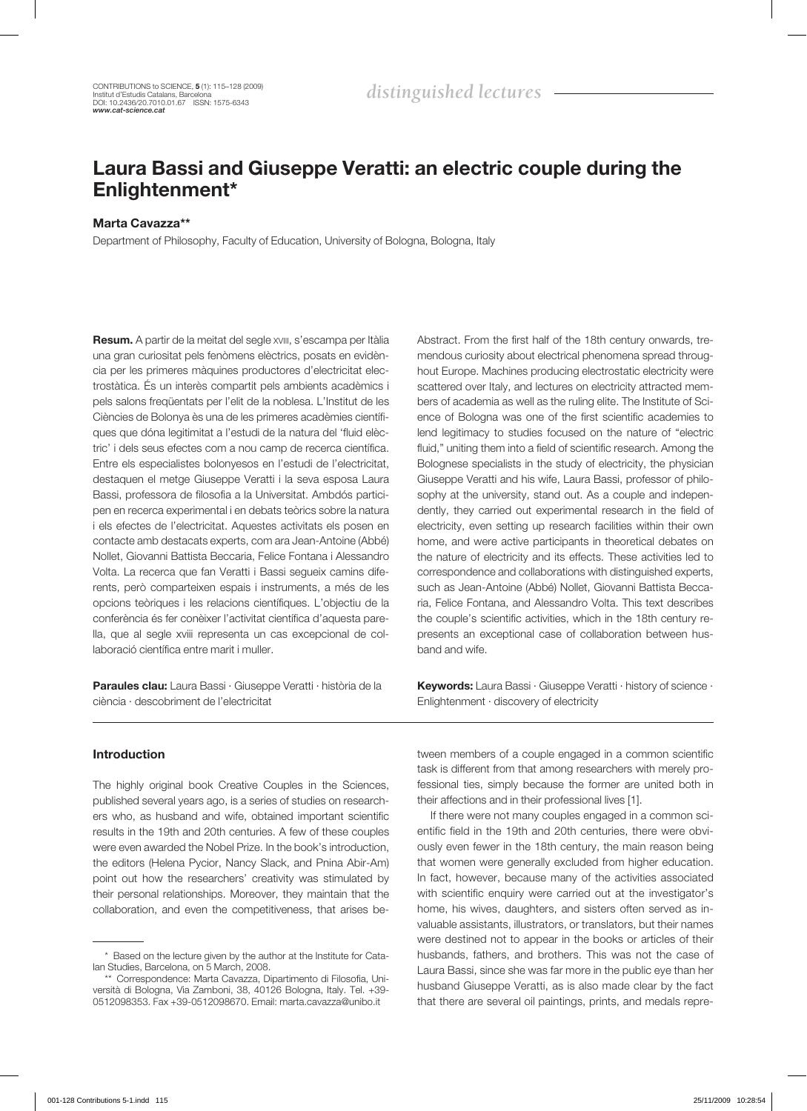# Laura Bassi and Giuseppe Veratti: an electric couple during the Enlightenment\*

## Marta Cavazza\*\*

Department of Philosophy, Faculty of Education, University of Bologna, Bologna, Italy

Resum. A partir de la meitat del segle xviii, s'escampa per Itàlia una gran curiositat pels fenòmens elèctrics, posats en evidència per les primeres màquines productores d'electricitat electrostàtica. És un interès compartit pels ambients acadèmics i pels salons freqüentats per l'elit de la noblesa. L'Institut de les Ciències de Bolonya ès una de les primeres acadèmies científiques que dóna legitimitat a l'estudi de la natura del 'fluid elèctric' i dels seus efectes com a nou camp de recerca científica. Entre els especialistes bolonyesos en l'estudi de l'electricitat, destaquen el metge Giuseppe Veratti i la seva esposa Laura Bassi, professora de filosofia a la Universitat. Ambdós participen en recerca experimental i en debats teòrics sobre la natura i els efectes de l'electricitat. Aquestes activitats els posen en contacte amb destacats experts, com ara Jean-Antoine (Abbé) Nollet, Giovanni Battista Beccaria, Felice Fontana i Alessandro Volta. La recerca que fan Veratti i Bassi segueix camins diferents, però comparteixen espais i instruments, a més de les opcions teòriques i les relacions científiques. L'objectiu de la conferència és fer conèixer l'activitat científica d'aquesta parella, que al segle xviii representa un cas excepcional de col· laboració científica entre marit i muller.

Paraules clau: Laura Bassi · Giuseppe Veratti · història de la ciència · descobriment de l'electricitat

Abstract. From the first half of the 18th century onwards, tremendous curiosity about electrical phenomena spread throughout Europe. Machines producing electrostatic electricity were scattered over Italy, and lectures on electricity attracted members of academia as well as the ruling elite. The Institute of Science of Bologna was one of the first scientific academies to lend legitimacy to studies focused on the nature of "electric fluid," uniting them into a field of scientific research. Among the Bolognese specialists in the study of electricity, the physician Giuseppe Veratti and his wife, Laura Bassi, professor of philosophy at the university, stand out. As a couple and independently, they carried out experimental research in the field of electricity, even setting up research facilities within their own home, and were active participants in theoretical debates on the nature of electricity and its effects. These activities led to correspondence and collaborations with distinguished experts, such as Jean-Antoine (Abbé) Nollet, Giovanni Battista Beccaria, Felice Fontana, and Alessandro Volta. This text describes the couple's scientific activities, which in the 18th century represents an exceptional case of collaboration between husband and wife.

Keywords: Laura Bassi · Giuseppe Veratti · history of science · Enlightenment · discovery of electricity

## Introduction

The highly original book Creative Couples in the Sciences, published several years ago, is a series of studies on researchers who, as husband and wife, obtained important scientific results in the 19th and 20th centuries. A few of these couples were even awarded the Nobel Prize. In the book's introduction, the editors (Helena Pycior, Nancy Slack, and Pnina Abir-Am) point out how the researchers' creativity was stimulated by their personal relationships. Moreover, they maintain that the collaboration, and even the competitiveness, that arises between members of a couple engaged in a common scientific task is different from that among researchers with merely professional ties, simply because the former are united both in their affections and in their professional lives [1].

If there were not many couples engaged in a common scientific field in the 19th and 20th centuries, there were obviously even fewer in the 18th century, the main reason being that women were generally excluded from higher education. In fact, however, because many of the activities associated with scientific enquiry were carried out at the investigator's home, his wives, daughters, and sisters often served as invaluable assistants, illustrators, or translators, but their names were destined not to appear in the books or articles of their husbands, fathers, and brothers. This was not the case of Laura Bassi, since she was far more in the public eye than her husband Giuseppe Veratti, as is also made clear by the fact that there are several oil paintings, prints, and medals repre-

<sup>\*</sup> Based on the lecture given by the author at the Institute for Catalan Studies, Barcelona, on 5 March, 2008.

<sup>\*\*</sup> Correspondence: Marta Cavazza, Dipartimento di Filosofia, Università di Bologna, Via Zamboni, 38, 40126 Bologna, Italy. Tel. +39- 0512098353. Fax +39-0512098670. Email: marta.cavazza@unibo.it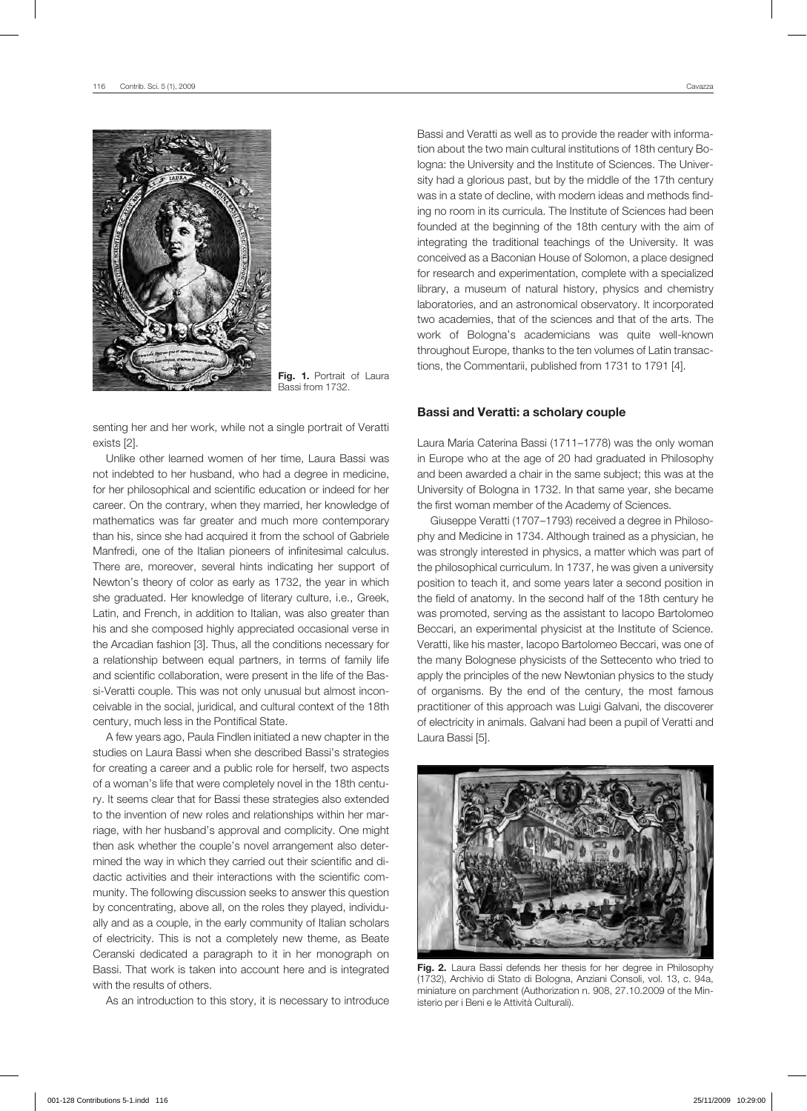

Fig. 1. Portrait of Laura Bassi from 1732.

senting her and her work, while not a single portrait of Veratti exists [2].

Unlike other learned women of her time, Laura Bassi was not indebted to her husband, who had a degree in medicine, for her philosophical and scientific education or indeed for her career. On the contrary, when they married, her knowledge of mathematics was far greater and much more contemporary than his, since she had acquired it from the school of Gabriele Manfredi, one of the Italian pioneers of infinitesimal calculus. There are, moreover, several hints indicating her support of Newton's theory of color as early as 1732, the year in which she graduated. Her knowledge of literary culture, i.e., Greek, Latin, and French, in addition to Italian, was also greater than his and she composed highly appreciated occasional verse in the Arcadian fashion [3]. Thus, all the conditions necessary for a relationship between equal partners, in terms of family life and scientific collaboration, were present in the life of the Bassi-Veratti couple. This was not only unusual but almost inconceivable in the social, juridical, and cultural context of the 18th century, much less in the Pontifical State.

A few years ago, Paula Findlen initiated a new chapter in the studies on Laura Bassi when she described Bassi's strategies for creating a career and a public role for herself, two aspects of a woman's life that were completely novel in the 18th century. It seems clear that for Bassi these strategies also extended to the invention of new roles and relationships within her marriage, with her husband's approval and complicity. One might then ask whether the couple's novel arrangement also determined the way in which they carried out their scientific and didactic activities and their interactions with the scientific community. The following discussion seeks to answer this question by concentrating, above all, on the roles they played, individually and as a couple, in the early community of Italian scholars of electricity. This is not a completely new theme, as Beate Ceranski dedicated a paragraph to it in her monograph on Bassi. That work is taken into account here and is integrated with the results of others.

As an introduction to this story, it is necessary to introduce

Bassi and Veratti as well as to provide the reader with information about the two main cultural institutions of 18th century Bologna: the University and the Institute of Sciences. The University had a glorious past, but by the middle of the 17th century was in a state of decline, with modern ideas and methods finding no room in its curricula. The Institute of Sciences had been founded at the beginning of the 18th century with the aim of integrating the traditional teachings of the University. It was conceived as a Baconian House of Solomon, a place designed for research and experimentation, complete with a specialized library, a museum of natural history, physics and chemistry laboratories, and an astronomical observatory. It incorporated two academies, that of the sciences and that of the arts. The work of Bologna's academicians was quite well-known throughout Europe, thanks to the ten volumes of Latin transactions, the Commentarii, published from 1731 to 1791 [4].

#### Bassi and Veratti: a scholary couple

Laura Maria Caterina Bassi (1711–1778) was the only woman in Europe who at the age of 20 had graduated in Philosophy and been awarded a chair in the same subject; this was at the University of Bologna in 1732. In that same year, she became the first woman member of the Academy of Sciences.

Giuseppe Veratti (1707–1793) received a degree in Philosophy and Medicine in 1734. Although trained as a physician, he was strongly interested in physics, a matter which was part of the philosophical curriculum. In 1737, he was given a university position to teach it, and some years later a second position in the field of anatomy. In the second half of the 18th century he was promoted, serving as the assistant to Iacopo Bartolomeo Beccari, an experimental physicist at the Institute of Science. Veratti, like his master, Iacopo Bartolomeo Beccari, was one of the many Bolognese physicists of the Settecento who tried to apply the principles of the new Newtonian physics to the study of organisms. By the end of the century, the most famous practitioner of this approach was Luigi Galvani, the discoverer of electricity in animals. Galvani had been a pupil of Veratti and Laura Bassi [5].



Fig. 2. Laura Bassi defends her thesis for her degree in Philosophy (1732), Archivio di Stato di Bologna, Anziani Consoli, vol. 13, c. 94a, miniature on parchment (Authorization n. 908, 27.10.2009 of the Ministerio per i Beni e le Attività Culturali).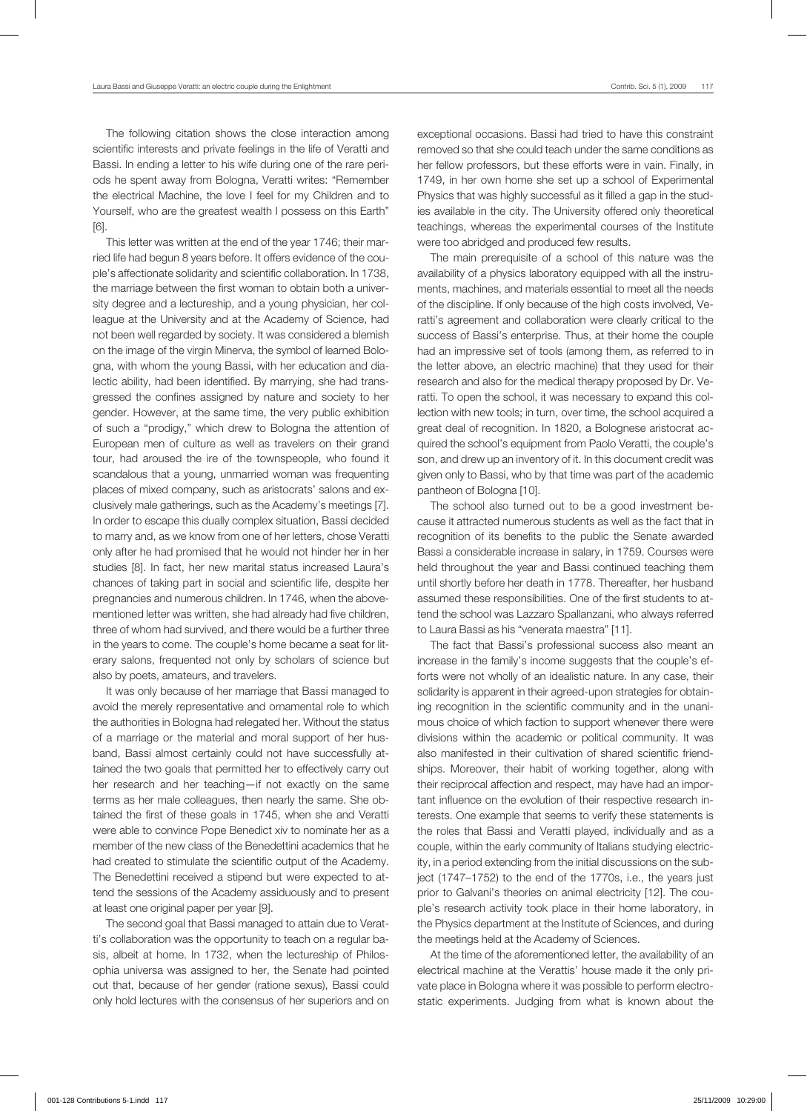The following citation shows the close interaction among scientific interests and private feelings in the life of Veratti and Bassi. In ending a letter to his wife during one of the rare periods he spent away from Bologna, Veratti writes: "Remember the electrical Machine, the love I feel for my Children and to Yourself, who are the greatest wealth I possess on this Earth" [6].

This letter was written at the end of the year 1746; their married life had begun 8 years before. It offers evidence of the couple's affectionate solidarity and scientific collaboration. In 1738, the marriage between the first woman to obtain both a university degree and a lectureship, and a young physician, her colleague at the University and at the Academy of Science, had not been well regarded by society. It was considered a blemish on the image of the virgin Minerva, the symbol of learned Bologna, with whom the young Bassi, with her education and dialectic ability, had been identified. By marrying, she had transgressed the confines assigned by nature and society to her gender. However, at the same time, the very public exhibition of such a "prodigy," which drew to Bologna the attention of European men of culture as well as travelers on their grand tour, had aroused the ire of the townspeople, who found it scandalous that a young, unmarried woman was frequenting places of mixed company, such as aristocrats' salons and exclusively male gatherings, such as the Academy's meetings [7]. In order to escape this dually complex situation, Bassi decided to marry and, as we know from one of her letters, chose Veratti only after he had promised that he would not hinder her in her studies [8]. In fact, her new marital status increased Laura's chances of taking part in social and scientific life, despite her pregnancies and numerous children. In 1746, when the abovementioned letter was written, she had already had five children, three of whom had survived, and there would be a further three in the years to come. The couple's home became a seat for literary salons, frequented not only by scholars of science but also by poets, amateurs, and travelers.

It was only because of her marriage that Bassi managed to avoid the merely representative and ornamental role to which the authorities in Bologna had relegated her. Without the status of a marriage or the material and moral support of her husband, Bassi almost certainly could not have successfully attained the two goals that permitted her to effectively carry out her research and her teaching—if not exactly on the same terms as her male colleagues, then nearly the same. She obtained the first of these goals in 1745, when she and Veratti were able to convince Pope Benedict xiv to nominate her as a member of the new class of the Benedettini academics that he had created to stimulate the scientific output of the Academy. The Benedettini received a stipend but were expected to attend the sessions of the Academy assiduously and to present at least one original paper per year [9].

The second goal that Bassi managed to attain due to Veratti's collaboration was the opportunity to teach on a regular basis, albeit at home. In 1732, when the lectureship of Philosophia universa was assigned to her, the Senate had pointed out that, because of her gender (ratione sexus), Bassi could only hold lectures with the consensus of her superiors and on exceptional occasions. Bassi had tried to have this constraint removed so that she could teach under the same conditions as her fellow professors, but these efforts were in vain. Finally, in 1749, in her own home she set up a school of Experimental Physics that was highly successful as it filled a gap in the studies available in the city. The University offered only theoretical teachings, whereas the experimental courses of the Institute were too abridged and produced few results.

The main prerequisite of a school of this nature was the availability of a physics laboratory equipped with all the instruments, machines, and materials essential to meet all the needs of the discipline. If only because of the high costs involved, Veratti's agreement and collaboration were clearly critical to the success of Bassi's enterprise. Thus, at their home the couple had an impressive set of tools (among them, as referred to in the letter above, an electric machine) that they used for their research and also for the medical therapy proposed by Dr. Veratti. To open the school, it was necessary to expand this collection with new tools; in turn, over time, the school acquired a great deal of recognition. In 1820, a Bolognese aristocrat acquired the school's equipment from Paolo Veratti, the couple's son, and drew up an inventory of it. In this document credit was given only to Bassi, who by that time was part of the academic pantheon of Bologna [10].

The school also turned out to be a good investment because it attracted numerous students as well as the fact that in recognition of its benefits to the public the Senate awarded Bassi a considerable increase in salary, in 1759. Courses were held throughout the year and Bassi continued teaching them until shortly before her death in 1778. Thereafter, her husband assumed these responsibilities. One of the first students to attend the school was Lazzaro Spallanzani, who always referred to Laura Bassi as his "venerata maestra" [11].

The fact that Bassi's professional success also meant an increase in the family's income suggests that the couple's efforts were not wholly of an idealistic nature. In any case, their solidarity is apparent in their agreed-upon strategies for obtaining recognition in the scientific community and in the unanimous choice of which faction to support whenever there were divisions within the academic or political community. It was also manifested in their cultivation of shared scientific friendships. Moreover, their habit of working together, along with their reciprocal affection and respect, may have had an important influence on the evolution of their respective research interests. One example that seems to verify these statements is the roles that Bassi and Veratti played, individually and as a couple, within the early community of Italians studying electricity, in a period extending from the initial discussions on the subject (1747–1752) to the end of the 1770s, i.e., the years just prior to Galvani's theories on animal electricity [12]. The couple's research activity took place in their home laboratory, in the Physics department at the Institute of Sciences, and during the meetings held at the Academy of Sciences.

At the time of the aforementioned letter, the availability of an electrical machine at the Verattis' house made it the only private place in Bologna where it was possible to perform electrostatic experiments. Judging from what is known about the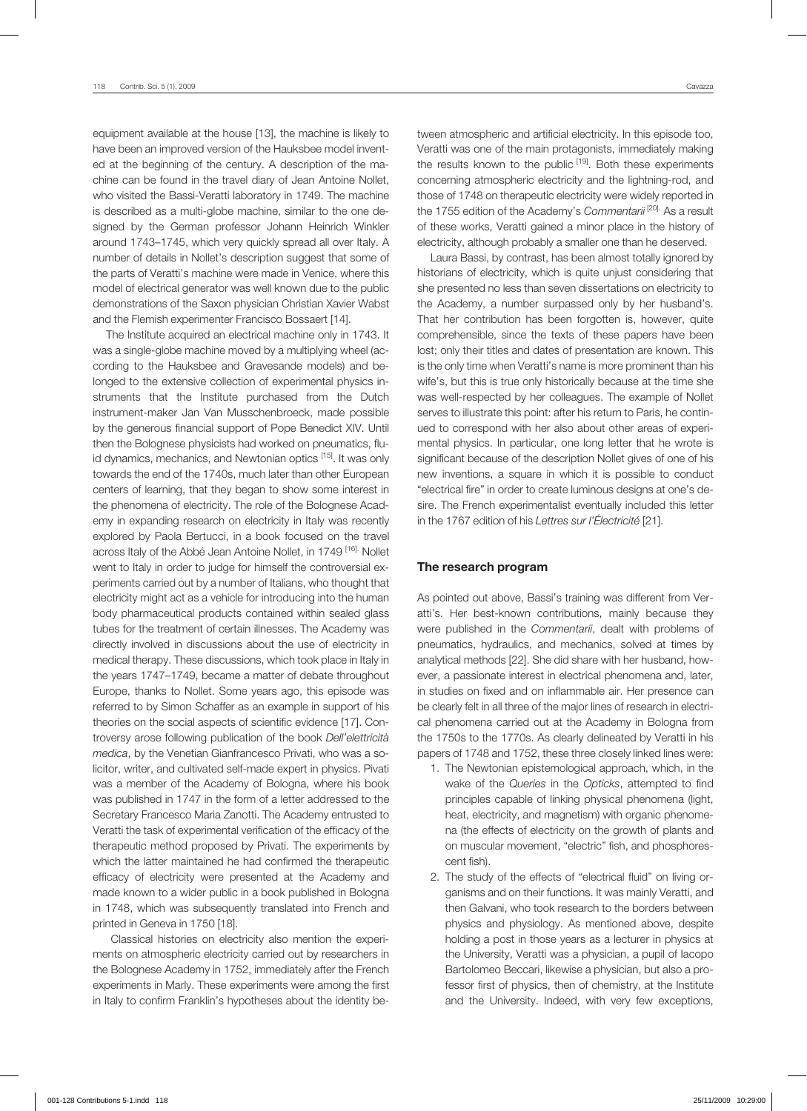equipment available at the house [13], the machine is likely to have been an improved version of the Hauksbee model invented at the beginning of the century. A description of the machine can be found in the travel diary of Jean Antoine Nollet, who visited the Bassi-Veratti laboratory in 1749. The machine is described as a multi-globe machine, similar to the one designed by the German professor Johann Heinrich Winkler around 1743–1745, which very quickly spread all over Italy. A number of details in Nollet's description suggest that some of the parts of Veratti's machine were made in Venice, where this model of electrical generator was well known due to the public demonstrations of the Saxon physician Christian Xavier Wabst and the Flemish experimenter Francisco Bossaert [14].

The Institute acquired an electrical machine only in 1743. It was a single-globe machine moved by a multiplying wheel (according to the Hauksbee and Gravesande models) and belonged to the extensive collection of experimental physics instruments that the Institute purchased from the Dutch instrument-maker Jan Van Musschenbroeck, made possible by the generous financial support of Pope Benedict XIV. Until then the Bolognese physicists had worked on pneumatics, fluid dynamics, mechanics, and Newtonian optics <sup>[15]</sup>. It was only towards the end of the 1740s, much later than other European centers of learning, that they began to show some interest in the phenomena of electricity. The role of the Bolognese Academy in expanding research on electricity in Italy was recently explored by Paola Bertucci, in a book focused on the travel across Italy of the Abbé Jean Antoine Nollet, in 1749 [16]. Nollet went to Italy in order to judge for himself the controversial experiments carried out by a number of Italians, who thought that electricity might act as a vehicle for introducing into the human body pharmaceutical products contained within sealed glass tubes for the treatment of certain illnesses. The Academy was directly involved in discussions about the use of electricity in medical therapy. These discussions, which took place in Italy in the years 1747–1749, became a matter of debate throughout Europe, thanks to Nollet. Some years ago, this episode was referred to by Simon Schaffer as an example in support of his theories on the social aspects of scientific evidence [17]. Controversy arose following publication of the book *Dell'elettricità medica*, by the Venetian Gianfrancesco Privati, who was a solicitor, writer, and cultivated self-made expert in physics. Pivati was a member of the Academy of Bologna, where his book was published in 1747 in the form of a letter addressed to the Secretary Francesco Maria Zanotti. The Academy entrusted to Veratti the task of experimental verification of the efficacy of the therapeutic method proposed by Privati. The experiments by which the latter maintained he had confirmed the therapeutic efficacy of electricity were presented at the Academy and made known to a wider public in a book published in Bologna in 1748, which was subsequently translated into French and printed in Geneva in 1750 [18].

 Classical histories on electricity also mention the experiments on atmospheric electricity carried out by researchers in the Bolognese Academy in 1752, immediately after the French experiments in Marly. These experiments were among the first in Italy to confirm Franklin's hypotheses about the identity between atmospheric and artificial electricity. In this episode too, Veratti was one of the main protagonists, immediately making the results known to the public [19]. Both these experiments concerning atmospheric electricity and the lightning-rod, and those of 1748 on therapeutic electricity were widely reported in the 1755 edition of the Academy's *Commentarii* [20]. As a result of these works, Veratti gained a minor place in the history of electricity, although probably a smaller one than he deserved.

Laura Bassi, by contrast, has been almost totally ignored by historians of electricity, which is quite unjust considering that she presented no less than seven dissertations on electricity to the Academy, a number surpassed only by her husband's. That her contribution has been forgotten is, however, quite comprehensible, since the texts of these papers have been lost; only their titles and dates of presentation are known. This is the only time when Veratti's name is more prominent than his wife's, but this is true only historically because at the time she was well-respected by her colleagues. The example of Nollet serves to illustrate this point: after his return to Paris, he continued to correspond with her also about other areas of experimental physics. In particular, one long letter that he wrote is significant because of the description Nollet gives of one of his new inventions, a square in which it is possible to conduct "electrical fire" in order to create luminous designs at one's desire. The French experimentalist eventually included this letter in the 1767 edition of his *Lettres sur l'Électricité* [21].

#### The research program

As pointed out above, Bassi's training was different from Veratti's. Her best-known contributions, mainly because they were published in the *Commentarii*, dealt with problems of pneumatics, hydraulics, and mechanics, solved at times by analytical methods [22]. She did share with her husband, however, a passionate interest in electrical phenomena and, later, in studies on fixed and on inflammable air. Her presence can be clearly felt in all three of the major lines of research in electrical phenomena carried out at the Academy in Bologna from the 1750s to the 1770s. As clearly delineated by Veratti in his papers of 1748 and 1752, these three closely linked lines were:

- 1. The Newtonian epistemological approach, which, in the wake of the *Queries* in the *Opticks*, attempted to find principles capable of linking physical phenomena (light, heat, electricity, and magnetism) with organic phenomena (the effects of electricity on the growth of plants and on muscular movement, "electric" fish, and phosphorescent fish).
- 2. The study of the effects of "electrical fluid" on living organisms and on their functions. It was mainly Veratti, and then Galvani, who took research to the borders between physics and physiology. As mentioned above, despite holding a post in those years as a lecturer in physics at the University, Veratti was a physician, a pupil of Iacopo Bartolomeo Beccari, likewise a physician, but also a professor first of physics, then of chemistry, at the Institute and the University. Indeed, with very few exceptions,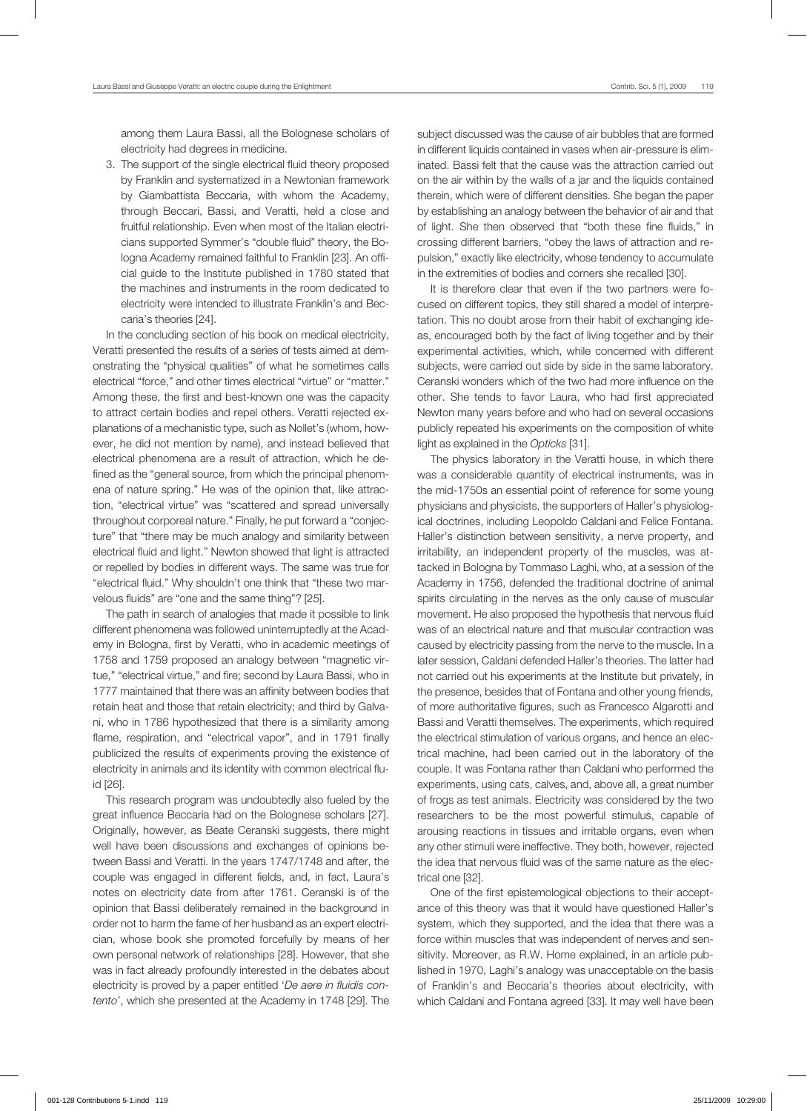among them Laura Bassi, all the Bolognese scholars of electricity had degrees in medicine.

3. The support of the single electrical fluid theory proposed by Franklin and systematized in a Newtonian framework by Giambattista Beccaria, with whom the Academy, through Beccari, Bassi, and Veratti, held a close and fruitful relationship. Even when most of the Italian electricians supported Symmer's "double fluid" theory, the Bologna Academy remained faithful to Franklin [23]. An official guide to the Institute published in 1780 stated that the machines and instruments in the room dedicated to electricity were intended to illustrate Franklin's and Beccaria's theories [24].

In the concluding section of his book on medical electricity, Veratti presented the results of a series of tests aimed at demonstrating the "physical qualities" of what he sometimes calls electrical "force," and other times electrical "virtue" or "matter." Among these, the first and best-known one was the capacity to attract certain bodies and repel others. Veratti rejected explanations of a mechanistic type, such as Nollet's (whom, however, he did not mention by name), and instead believed that electrical phenomena are a result of attraction, which he defined as the "general source, from which the principal phenomena of nature spring." He was of the opinion that, like attraction, "electrical virtue" was "scattered and spread universally throughout corporeal nature." Finally, he put forward a "conjecture" that "there may be much analogy and similarity between electrical fluid and light." Newton showed that light is attracted or repelled by bodies in different ways. The same was true for "electrical fluid." Why shouldn't one think that "these two marvelous fluids" are "one and the same thing"? [25].

The path in search of analogies that made it possible to link different phenomena was followed uninterruptedly at the Academy in Bologna, first by Veratti, who in academic meetings of 1758 and 1759 proposed an analogy between "magnetic virtue," "electrical virtue," and fire; second by Laura Bassi, who in 1777 maintained that there was an affinity between bodies that retain heat and those that retain electricity; and third by Galvani, who in 1786 hypothesized that there is a similarity among flame, respiration, and "electrical vapor", and in 1791 finally publicized the results of experiments proving the existence of electricity in animals and its identity with common electrical fluid [26].

This research program was undoubtedly also fueled by the great influence Beccaria had on the Bolognese scholars [27]. Originally, however, as Beate Ceranski suggests, there might well have been discussions and exchanges of opinions between Bassi and Veratti. In the years 1747/1748 and after, the couple was engaged in different fields, and, in fact, Laura's notes on electricity date from after 1761. Ceranski is of the opinion that Bassi deliberately remained in the background in order not to harm the fame of her husband as an expert electrician, whose book she promoted forcefully by means of her own personal network of relationships [28]. However, that she was in fact already profoundly interested in the debates about electricity is proved by a paper entitled '*De aere in fluidis contento*', which she presented at the Academy in 1748 [29]. The

subject discussed was the cause of air bubbles that are formed in different liquids contained in vases when air-pressure is eliminated. Bassi felt that the cause was the attraction carried out on the air within by the walls of a jar and the liquids contained therein, which were of different densities. She began the paper by establishing an analogy between the behavior of air and that of light. She then observed that "both these fine fluids," in crossing different barriers, "obey the laws of attraction and repulsion," exactly like electricity, whose tendency to accumulate in the extremities of bodies and corners she recalled [30].

It is therefore clear that even if the two partners were focused on different topics, they still shared a model of interpretation. This no doubt arose from their habit of exchanging ideas, encouraged both by the fact of living together and by their experimental activities, which, while concerned with different subjects, were carried out side by side in the same laboratory. Ceranski wonders which of the two had more influence on the other. She tends to favor Laura, who had first appreciated Newton many years before and who had on several occasions publicly repeated his experiments on the composition of white light as explained in the *Opticks* [31].

The physics laboratory in the Veratti house, in which there was a considerable quantity of electrical instruments, was in the mid-1750s an essential point of reference for some young physicians and physicists, the supporters of Haller's physiological doctrines, including Leopoldo Caldani and Felice Fontana. Haller's distinction between sensitivity, a nerve property, and irritability, an independent property of the muscles, was attacked in Bologna by Tommaso Laghi, who, at a session of the Academy in 1756, defended the traditional doctrine of animal spirits circulating in the nerves as the only cause of muscular movement. He also proposed the hypothesis that nervous fluid was of an electrical nature and that muscular contraction was caused by electricity passing from the nerve to the muscle. In a later session, Caldani defended Haller's theories. The latter had not carried out his experiments at the Institute but privately, in the presence, besides that of Fontana and other young friends, of more authoritative figures, such as Francesco Algarotti and Bassi and Veratti themselves. The experiments, which required the electrical stimulation of various organs, and hence an electrical machine, had been carried out in the laboratory of the couple. It was Fontana rather than Caldani who performed the experiments, using cats, calves, and, above all, a great number of frogs as test animals. Electricity was considered by the two researchers to be the most powerful stimulus, capable of arousing reactions in tissues and irritable organs, even when any other stimuli were ineffective. They both, however, rejected the idea that nervous fluid was of the same nature as the electrical one [32].

One of the first epistemological objections to their acceptance of this theory was that it would have questioned Haller's system, which they supported, and the idea that there was a force within muscles that was independent of nerves and sensitivity. Moreover, as R.W. Home explained, in an article published in 1970, Laghi's analogy was unacceptable on the basis of Franklin's and Beccaria's theories about electricity, with which Caldani and Fontana agreed [33]. It may well have been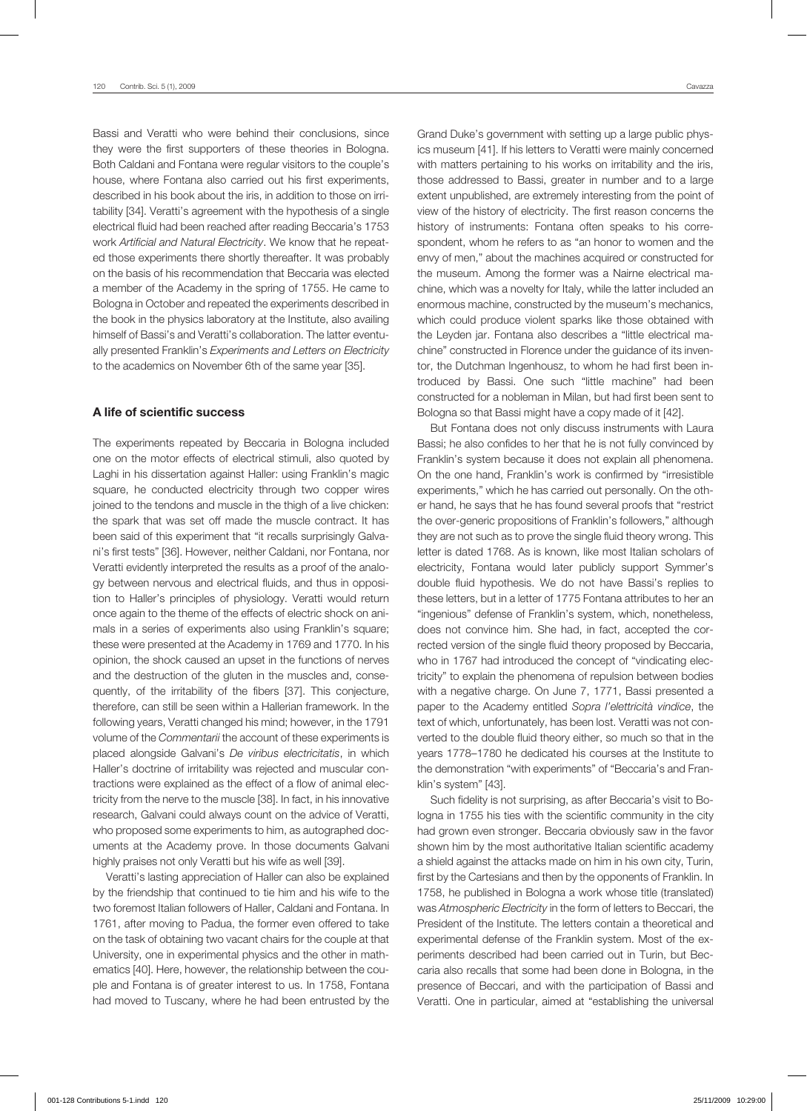Bassi and Veratti who were behind their conclusions, since they were the first supporters of these theories in Bologna. Both Caldani and Fontana were regular visitors to the couple's house, where Fontana also carried out his first experiments, described in his book about the iris, in addition to those on irritability [34]. Veratti's agreement with the hypothesis of a single electrical fluid had been reached after reading Beccaria's 1753 work *Artificial and Natural Electricity*. We know that he repeated those experiments there shortly thereafter. It was probably on the basis of his recommendation that Beccaria was elected a member of the Academy in the spring of 1755. He came to Bologna in October and repeated the experiments described in the book in the physics laboratory at the Institute, also availing himself of Bassi's and Veratti's collaboration. The latter eventually presented Franklin's *Experiments and Letters on Electricity* to the academics on November 6th of the same year [35].

# A life of scientific success

The experiments repeated by Beccaria in Bologna included one on the motor effects of electrical stimuli, also quoted by Laghi in his dissertation against Haller: using Franklin's magic square, he conducted electricity through two copper wires joined to the tendons and muscle in the thigh of a live chicken: the spark that was set off made the muscle contract. It has been said of this experiment that "it recalls surprisingly Galvani's first tests" [36]. However, neither Caldani, nor Fontana, nor Veratti evidently interpreted the results as a proof of the analogy between nervous and electrical fluids, and thus in opposition to Haller's principles of physiology. Veratti would return once again to the theme of the effects of electric shock on animals in a series of experiments also using Franklin's square; these were presented at the Academy in 1769 and 1770. In his opinion, the shock caused an upset in the functions of nerves and the destruction of the gluten in the muscles and, consequently, of the irritability of the fibers [37]. This conjecture, therefore, can still be seen within a Hallerian framework. In the following years, Veratti changed his mind; however, in the 1791 volume of the *Commentarii* the account of these experiments is placed alongside Galvani's *De viribus electricitatis*, in which Haller's doctrine of irritability was rejected and muscular contractions were explained as the effect of a flow of animal electricity from the nerve to the muscle [38]. In fact, in his innovative research, Galvani could always count on the advice of Veratti, who proposed some experiments to him, as autographed documents at the Academy prove. In those documents Galvani highly praises not only Veratti but his wife as well [39].

Veratti's lasting appreciation of Haller can also be explained by the friendship that continued to tie him and his wife to the two foremost Italian followers of Haller, Caldani and Fontana. In 1761, after moving to Padua, the former even offered to take on the task of obtaining two vacant chairs for the couple at that University, one in experimental physics and the other in mathematics [40]. Here, however, the relationship between the couple and Fontana is of greater interest to us. In 1758, Fontana had moved to Tuscany, where he had been entrusted by the

Grand Duke's government with setting up a large public physics museum [41]. If his letters to Veratti were mainly concerned with matters pertaining to his works on irritability and the iris, those addressed to Bassi, greater in number and to a large extent unpublished, are extremely interesting from the point of view of the history of electricity. The first reason concerns the history of instruments: Fontana often speaks to his correspondent, whom he refers to as "an honor to women and the envy of men," about the machines acquired or constructed for the museum. Among the former was a Nairne electrical machine, which was a novelty for Italy, while the latter included an enormous machine, constructed by the museum's mechanics, which could produce violent sparks like those obtained with the Leyden jar. Fontana also describes a "little electrical machine" constructed in Florence under the guidance of its inventor, the Dutchman Ingenhousz, to whom he had first been introduced by Bassi. One such "little machine" had been constructed for a nobleman in Milan, but had first been sent to Bologna so that Bassi might have a copy made of it [42].

But Fontana does not only discuss instruments with Laura Bassi; he also confides to her that he is not fully convinced by Franklin's system because it does not explain all phenomena. On the one hand, Franklin's work is confirmed by "irresistible experiments," which he has carried out personally. On the other hand, he says that he has found several proofs that "restrict the over-generic propositions of Franklin's followers," although they are not such as to prove the single fluid theory wrong. This letter is dated 1768. As is known, like most Italian scholars of electricity, Fontana would later publicly support Symmer's double fluid hypothesis. We do not have Bassi's replies to these letters, but in a letter of 1775 Fontana attributes to her an "ingenious" defense of Franklin's system, which, nonetheless, does not convince him. She had, in fact, accepted the corrected version of the single fluid theory proposed by Beccaria, who in 1767 had introduced the concept of "vindicating electricity" to explain the phenomena of repulsion between bodies with a negative charge. On June 7, 1771, Bassi presented a paper to the Academy entitled *Sopra l'elettricità vindice*, the text of which, unfortunately, has been lost. Veratti was not converted to the double fluid theory either, so much so that in the years 1778–1780 he dedicated his courses at the Institute to the demonstration "with experiments" of "Beccaria's and Franklin's system" [43].

Such fidelity is not surprising, as after Beccaria's visit to Bologna in 1755 his ties with the scientific community in the city had grown even stronger. Beccaria obviously saw in the favor shown him by the most authoritative Italian scientific academy a shield against the attacks made on him in his own city, Turin, first by the Cartesians and then by the opponents of Franklin. In 1758, he published in Bologna a work whose title (translated) was *Atmospheric Electricity* in the form of letters to Beccari, the President of the Institute. The letters contain a theoretical and experimental defense of the Franklin system. Most of the experiments described had been carried out in Turin, but Beccaria also recalls that some had been done in Bologna, in the presence of Beccari, and with the participation of Bassi and Veratti. One in particular, aimed at "establishing the universal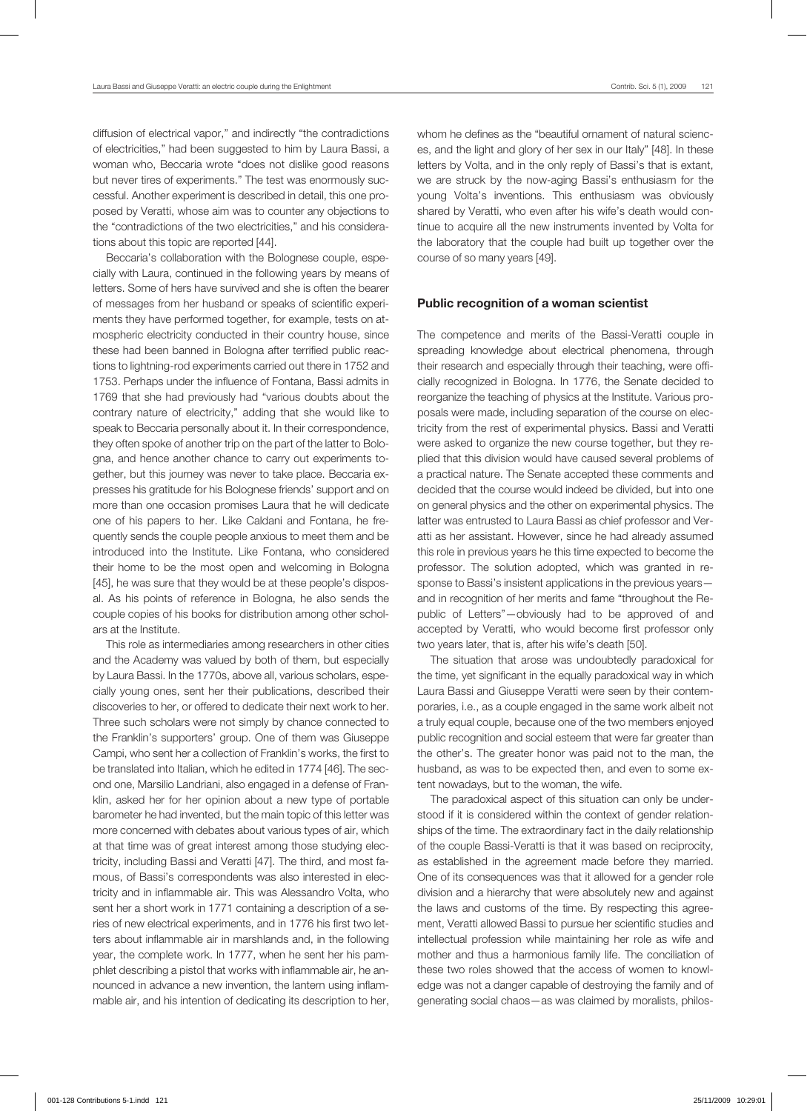diffusion of electrical vapor," and indirectly "the contradictions of electricities," had been suggested to him by Laura Bassi, a woman who, Beccaria wrote "does not dislike good reasons but never tires of experiments." The test was enormously successful. Another experiment is described in detail, this one proposed by Veratti, whose aim was to counter any objections to the "contradictions of the two electricities," and his considerations about this topic are reported [44].

Beccaria's collaboration with the Bolognese couple, especially with Laura, continued in the following years by means of letters. Some of hers have survived and she is often the bearer of messages from her husband or speaks of scientific experiments they have performed together, for example, tests on atmospheric electricity conducted in their country house, since these had been banned in Bologna after terrified public reactions to lightning-rod experiments carried out there in 1752 and 1753. Perhaps under the influence of Fontana, Bassi admits in 1769 that she had previously had "various doubts about the contrary nature of electricity," adding that she would like to speak to Beccaria personally about it. In their correspondence, they often spoke of another trip on the part of the latter to Bologna, and hence another chance to carry out experiments together, but this journey was never to take place. Beccaria expresses his gratitude for his Bolognese friends' support and on more than one occasion promises Laura that he will dedicate one of his papers to her. Like Caldani and Fontana, he frequently sends the couple people anxious to meet them and be introduced into the Institute. Like Fontana, who considered their home to be the most open and welcoming in Bologna [45], he was sure that they would be at these people's disposal. As his points of reference in Bologna, he also sends the couple copies of his books for distribution among other scholars at the Institute.

This role as intermediaries among researchers in other cities and the Academy was valued by both of them, but especially by Laura Bassi. In the 1770s, above all, various scholars, especially young ones, sent her their publications, described their discoveries to her, or offered to dedicate their next work to her. Three such scholars were not simply by chance connected to the Franklin's supporters' group. One of them was Giuseppe Campi, who sent her a collection of Franklin's works, the first to be translated into Italian, which he edited in 1774 [46]. The second one, Marsilio Landriani, also engaged in a defense of Franklin, asked her for her opinion about a new type of portable barometer he had invented, but the main topic of this letter was more concerned with debates about various types of air, which at that time was of great interest among those studying electricity, including Bassi and Veratti [47]. The third, and most famous, of Bassi's correspondents was also interested in electricity and in inflammable air. This was Alessandro Volta, who sent her a short work in 1771 containing a description of a series of new electrical experiments, and in 1776 his first two letters about inflammable air in marshlands and, in the following year, the complete work. In 1777, when he sent her his pamphlet describing a pistol that works with inflammable air, he announced in advance a new invention, the lantern using inflammable air, and his intention of dedicating its description to her,

whom he defines as the "beautiful ornament of natural sciences, and the light and glory of her sex in our Italy" [48]. In these letters by Volta, and in the only reply of Bassi's that is extant, we are struck by the now-aging Bassi's enthusiasm for the young Volta's inventions. This enthusiasm was obviously shared by Veratti, who even after his wife's death would continue to acquire all the new instruments invented by Volta for the laboratory that the couple had built up together over the course of so many years [49].

## Public recognition of a woman scientist

The competence and merits of the Bassi-Veratti couple in spreading knowledge about electrical phenomena, through their research and especially through their teaching, were officially recognized in Bologna. In 1776, the Senate decided to reorganize the teaching of physics at the Institute. Various proposals were made, including separation of the course on electricity from the rest of experimental physics. Bassi and Veratti were asked to organize the new course together, but they replied that this division would have caused several problems of a practical nature. The Senate accepted these comments and decided that the course would indeed be divided, but into one on general physics and the other on experimental physics. The latter was entrusted to Laura Bassi as chief professor and Veratti as her assistant. However, since he had already assumed this role in previous years he this time expected to become the professor. The solution adopted, which was granted in response to Bassi's insistent applications in the previous years and in recognition of her merits and fame "throughout the Republic of Letters"—obviously had to be approved of and accepted by Veratti, who would become first professor only two years later, that is, after his wife's death [50].

The situation that arose was undoubtedly paradoxical for the time, yet significant in the equally paradoxical way in which Laura Bassi and Giuseppe Veratti were seen by their contemporaries, i.e., as a couple engaged in the same work albeit not a truly equal couple, because one of the two members enjoyed public recognition and social esteem that were far greater than the other's. The greater honor was paid not to the man, the husband, as was to be expected then, and even to some extent nowadays, but to the woman, the wife.

The paradoxical aspect of this situation can only be understood if it is considered within the context of gender relationships of the time. The extraordinary fact in the daily relationship of the couple Bassi-Veratti is that it was based on reciprocity, as established in the agreement made before they married. One of its consequences was that it allowed for a gender role division and a hierarchy that were absolutely new and against the laws and customs of the time. By respecting this agreement, Veratti allowed Bassi to pursue her scientific studies and intellectual profession while maintaining her role as wife and mother and thus a harmonious family life. The conciliation of these two roles showed that the access of women to knowledge was not a danger capable of destroying the family and of generating social chaos—as was claimed by moralists, philos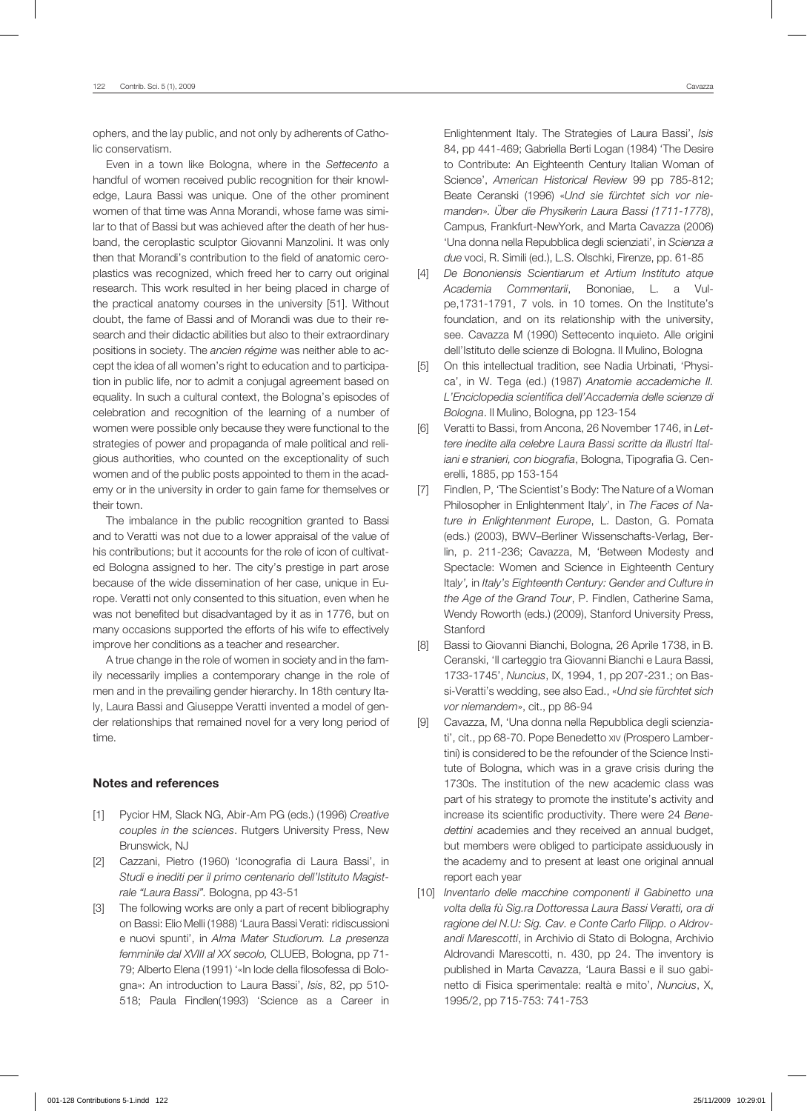ophers, and the lay public, and not only by adherents of Catholic conservatism.

Even in a town like Bologna, where in the *Settecento* a handful of women received public recognition for their knowledge, Laura Bassi was unique. One of the other prominent women of that time was Anna Morandi, whose fame was similar to that of Bassi but was achieved after the death of her husband, the ceroplastic sculptor Giovanni Manzolini. It was only then that Morandi's contribution to the field of anatomic ceroplastics was recognized, which freed her to carry out original research. This work resulted in her being placed in charge of the practical anatomy courses in the university [51]. Without doubt, the fame of Bassi and of Morandi was due to their research and their didactic abilities but also to their extraordinary positions in society. The *ancien régime* was neither able to accept the idea of all women's right to education and to participation in public life, nor to admit a conjugal agreement based on equality. In such a cultural context, the Bologna's episodes of celebration and recognition of the learning of a number of women were possible only because they were functional to the strategies of power and propaganda of male political and religious authorities, who counted on the exceptionality of such women and of the public posts appointed to them in the academy or in the university in order to gain fame for themselves or their town.

The imbalance in the public recognition granted to Bassi and to Veratti was not due to a lower appraisal of the value of his contributions; but it accounts for the role of icon of cultivated Bologna assigned to her. The city's prestige in part arose because of the wide dissemination of her case, unique in Europe. Veratti not only consented to this situation, even when he was not benefited but disadvantaged by it as in 1776, but on many occasions supported the efforts of his wife to effectively improve her conditions as a teacher and researcher.

A true change in the role of women in society and in the family necessarily implies a contemporary change in the role of men and in the prevailing gender hierarchy. In 18th century Italy, Laura Bassi and Giuseppe Veratti invented a model of gender relationships that remained novel for a very long period of time.

#### Notes and references

- [1] Pycior HM, Slack NG, Abir-Am PG (eds.) (1996) *Creative couples in the sciences*. Rutgers University Press, New Brunswick, NJ
- [2] Cazzani, Pietro (1960) 'Iconografia di Laura Bassi', in *Studi e inediti per il primo centenario dell'Istituto Magistrale "Laura Bassi".* Bologna, pp 43-51
- [3] The following works are only a part of recent bibliography on Bassi: Elio Melli (1988) 'Laura Bassi Verati: ridiscussioni e nuovi spunti', in *Alma Mater Studiorum. La presenza femminile dal XVIII al XX secolo,* CLUEB, Bologna, pp 71- 79; Alberto Elena (1991) '«In lode della filosofessa di Bologna»: An introduction to Laura Bassi', *Isis*, 82, pp 510- 518; Paula Findlen(1993) 'Science as a Career in

Enlightenment Italy. The Strategies of Laura Bassi', *Isis* 84, pp 441-469; Gabriella Berti Logan (1984) 'The Desire to Contribute: An Eighteenth Century Italian Woman of Science', *American Historical Review* 99 pp 785-812; Beate Ceranski (1996) «*Und sie fürchtet sich vor niemanden*»*. Über die Physikerin Laura Bassi (1711-1778)*, Campus, Frankfurt-NewYork, and Marta Cavazza (2006) 'Una donna nella Repubblica degli scienziati', in *Scienza a due* voci, R. Simili (ed.), L.S. Olschki, Firenze, pp. 61-85

- [4] *De Bononiensis Scientiarum et Artium Instituto atque Academia Commentarii*, Bononiae, L. a Vulpe,1731-1791, 7 vols. in 10 tomes. On the Institute's foundation, and on its relationship with the university, see. Cavazza M (1990) Settecento inquieto. Alle origini dell'Istituto delle scienze di Bologna. Il Mulino, Bologna
- [5] On this intellectual tradition, see Nadia Urbinati, 'Physica', in W. Tega (ed.) (1987) *Anatomie accademiche II. L'Enciclopedia scientifica dell'Accademia delle scienze di Bologna*. Il Mulino, Bologna, pp 123-154
- [6] Veratti to Bassi, from Ancona, 26 November 1746, in *Lettere inedite alla celebre Laura Bassi scritte da illustri Italiani e stranieri, con biografia*, Bologna, Tipografia G. Cenerelli, 1885, pp 153-154
- [7] Findlen, P, 'The Scientist's Body: The Nature of a Woman Philosopher in Enlightenment Ital*y*', in *The Faces of Nature in Enlightenment Europe*, L. Daston, G. Pomata (eds.) (2003), BWV–Berliner Wissenschafts-Verlag, Berlin, p. 211-236; Cavazza, M, 'Between Modesty and Spectacle: Women and Science in Eighteenth Century Ital*y',* in *Italy's Eighteenth Century: Gender and Culture in the Age of the Grand Tour*, P. Findlen, Catherine Sama, Wendy Roworth (eds.) (2009), Stanford University Press, Stanford
- [8] Bassi to Giovanni Bianchi, Bologna, 26 Aprile 1738, in B. Ceranski, 'Il carteggio tra Giovanni Bianchi e Laura Bassi, 1733-1745', *Nuncius*, IX, 1994, 1, pp 207-231.; on Bassi-Veratti's wedding, see also Ead., «*Und sie fürchtet sich vor niemandem*», cit., pp 86-94
- [9] Cavazza, M, 'Una donna nella Repubblica degli scienziati', cit., pp 68-70. Pope Benedetto xiv (Prospero Lambertini) is considered to be the refounder of the Science Institute of Bologna, which was in a grave crisis during the 1730s. The institution of the new academic class was part of his strategy to promote the institute's activity and increase its scientific productivity. There were 24 *Benedettini* academies and they received an annual budget, but members were obliged to participate assiduously in the academy and to present at least one original annual report each year
- [10] *Inventario delle macchine componenti il Gabinetto una volta della fù Sig.ra Dottoressa Laura Bassi Veratti, ora di ragione del N.U: Sig. Cav. e Conte Carlo Filipp. o Aldrovandi Marescotti*, in Archivio di Stato di Bologna, Archivio Aldrovandi Marescotti, n. 430, pp 24. The inventory is published in Marta Cavazza, 'Laura Bassi e il suo gabinetto di Fisica sperimentale: realtà e mito', *Nuncius*, X, 1995/2, pp 715-753: 741-753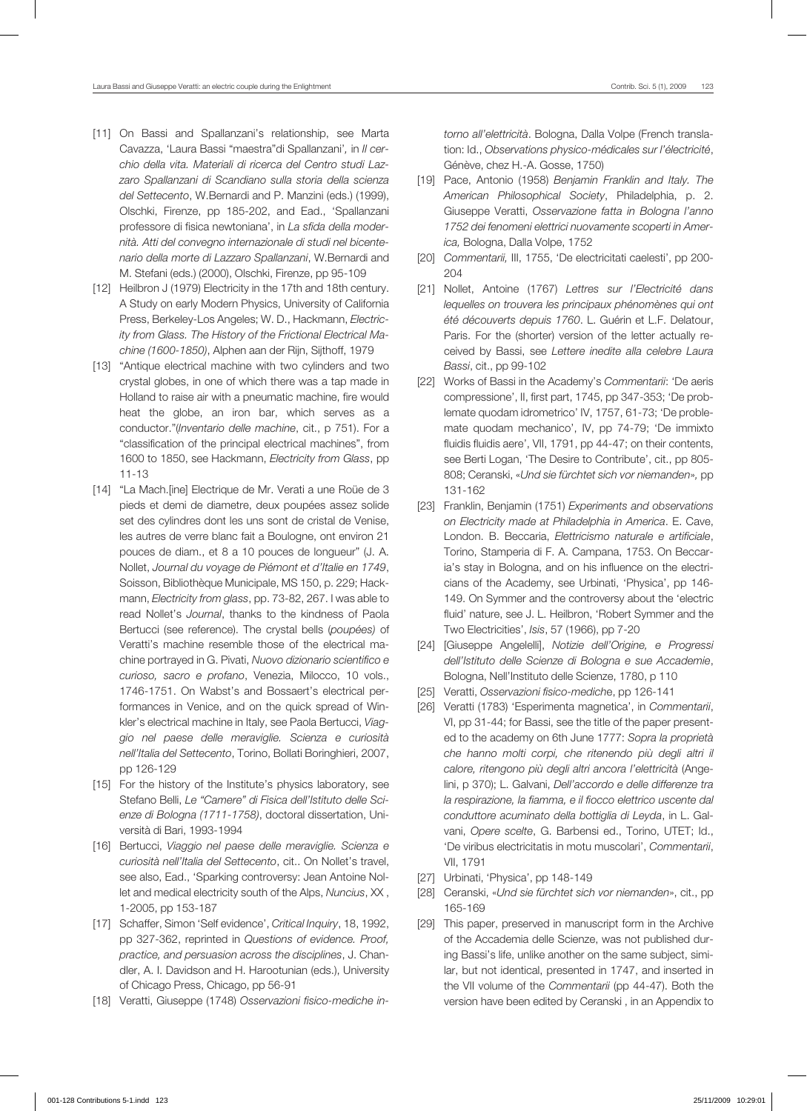- [11] On Bassi and Spallanzani's relationship, see Marta Cavazza, 'Laura Bassi "maestra"di Spallanzani'*,* in *Il cerchio della vita. Materiali di ricerca del Centro studi Lazzaro Spallanzani di Scandiano sulla storia della scienza del Settecento*, W.Bernardi and P. Manzini (eds.) (1999), Olschki, Firenze, pp 185-202, and Ead., 'Spallanzani professore di fisica newtoniana', in *La sfida della modernità. Atti del convegno internazionale di studi nel bicentenario della morte di Lazzaro Spallanzani*, W.Bernardi and M. Stefani (eds.) (2000), Olschki, Firenze, pp 95-109
- [12] Heilbron J (1979) Electricity in the 17th and 18th century. A Study on early Modern Physics, University of California Press, Berkeley-Los Angeles; W. D., Hackmann, *Electricity from Glass. The History of the Frictional Electrical Machine (1600-1850)*, Alphen aan der Rijn, Sijthoff, 1979
- [13] "Antique electrical machine with two cylinders and two crystal globes, in one of which there was a tap made in Holland to raise air with a pneumatic machine, fire would heat the globe, an iron bar, which serves as a conductor."(*Inventario delle machine*, cit., p 751). For a "classification of the principal electrical machines", from 1600 to 1850, see Hackmann, *Electricity from Glass*, pp 11-13
- [14] "La Mach. [ine] Electrique de Mr. Verati a une Roüe de 3 pieds et demi de diametre, deux poupées assez solide set des cylindres dont les uns sont de cristal de Venise, les autres de verre blanc fait a Boulogne, ont environ 21 pouces de diam., et 8 a 10 pouces de longueur" (J. A. Nollet, *Journal du voyage de Piémont et d'Italie en 1749*, Soisson, Bibliothèque Municipale, MS 150, p. 229; Hackmann, *Electricity from glass*, pp. 73-82, 267. I was able to read Nollet's *Journal*, thanks to the kindness of Paola Bertucci (see reference). The crystal bells (*poupées)* of Veratti's machine resemble those of the electrical machine portrayed in G. Pivati, *Nuovo dizionario scientifico e curioso, sacro e profano*, Venezia, Milocco, 10 vols., 1746-1751. On Wabst's and Bossaert's electrical performances in Venice, and on the quick spread of Winkler's electrical machine in Italy, see Paola Bertucci, *Viaggio nel paese delle meraviglie. Scienza e curiosità nell'Italia del Settecento*, Torino, Bollati Boringhieri, 2007, pp 126-129
- [15] For the history of the Institute's physics laboratory, see Stefano Belli, *Le "Camere" di Fisica dell'Istituto delle Scienze di Bologna (1711-1758)*, doctoral dissertation, Università di Bari, 1993-1994
- [16] Bertucci, *Viaggio nel paese delle meraviglie. Scienza e curiosità nell'Italia del Settecento*, cit.. On Nollet's travel, see also, Ead., 'Sparking controversy: Jean Antoine Nollet and medical electricity south of the Alps, *Nuncius*, XX , 1-2005, pp 153-187
- [17] Schaffer, Simon 'Self evidence', *Critical Inquiry*, 18, 1992, pp 327-362, reprinted in *Questions of evidence. Proof, practice, and persuasion across the disciplines*, J. Chandler, A. I. Davidson and H. Harootunian (eds.), University of Chicago Press, Chicago, pp 56-91
- [18] Veratti, Giuseppe (1748) *Osservazioni fisico-mediche in-*

*torno all'elettricità*. Bologna, Dalla Volpe (French translation: Id., *Observations physico-médicales sur l'électricité*, Génève, chez H.-A. Gosse, 1750)

- [19] Pace, Antonio (1958) *Benjamin Franklin and Italy. The American Philosophical Society*, Philadelphia, p. 2. Giuseppe Veratti, *Osservazione fatta in Bologna l'anno 1752 dei fenomeni elettrici nuovamente scoperti in America,* Bologna, Dalla Volpe, 1752
- [20] *Commentarii,* III, 1755, 'De electricitati caelesti', pp 200- 204
- [21] Nollet, Antoine (1767) *Lettres sur l'Electricité dans lequelles on trouvera les principaux phénomènes qui ont été découverts depuis 1760*. L. Guérin et L.F. Delatour, Paris. For the (shorter) version of the letter actually received by Bassi, see *Lettere inedite alla celebre Laura Bassi*, cit., pp 99-102
- [22] Works of Bassi in the Academy's *Commentarii*: 'De aeris compressione', II, first part, 1745, pp 347-353; 'De problemate quodam idrometrico' IV, 1757, 61-73; 'De problemate quodam mechanico', IV, pp 74-79; 'De immixto fluidis fluidis aere', VII, 1791, pp 44-47; on their contents, see Berti Logan, 'The Desire to Contribute', cit., pp 805- 808; Ceranski, «*Und sie fürchtet sich vor niemanden*»*,* pp 131-162
- [23] Franklin, Benjamin (1751) *Experiments and observations on Electricity made at Philadelphia in America*. E. Cave, London. B. Beccaria, *Elettricismo naturale e artificiale*, Torino, Stamperia di F. A. Campana, 1753. On Beccaria's stay in Bologna, and on his influence on the electricians of the Academy, see Urbinati, 'Physica', pp 146- 149. On Symmer and the controversy about the 'electric fluid' nature, see J. L. Heilbron, 'Robert Symmer and the Two Electricities', *Isis*, 57 (1966), pp 7-20
- [24] [Giuseppe Angelelli], *Notizie dell'Origine, e Progressi dell'Istituto delle Scienze di Bologna e sue Accademie*, Bologna, Nell'Instituto delle Scienze, 1780, p 110
- [25] Veratti, *Osservazioni fisico-medich*e, pp 126-141
- [26] Veratti (1783) 'Esperimenta magnetica', in *Commentarii*, VI, pp 31-44; for Bassi, see the title of the paper presented to the academy on 6th June 1777: *Sopra la proprietà che hanno molti corpi, che ritenendo più degli altri il calore, ritengono più degli altri ancora l'elettricità* (Angelini, p 370); L. Galvani, *Dell'accordo e delle differenze tra la respirazione, la fiamma, e il fiocco elettrico uscente dal conduttore acuminato della bottiglia di Leyda*, in L. Galvani, *Opere scelte*, G. Barbensi ed., Torino, UTET; Id., 'De viribus electricitatis in motu muscolari', *Commentarii*, VII, 1791
- [27] Urbinati, 'Physica', pp 148-149
- [28] Ceranski, «*Und sie fürchtet sich vor niemanden*», cit., pp 165-169
- [29] This paper, preserved in manuscript form in the Archive of the Accademia delle Scienze, was not published during Bassi's life, unlike another on the same subject, similar, but not identical, presented in 1747, and inserted in the VII volume of the *Commentarii* (pp 44-47). Both the version have been edited by Ceranski , in an Appendix to